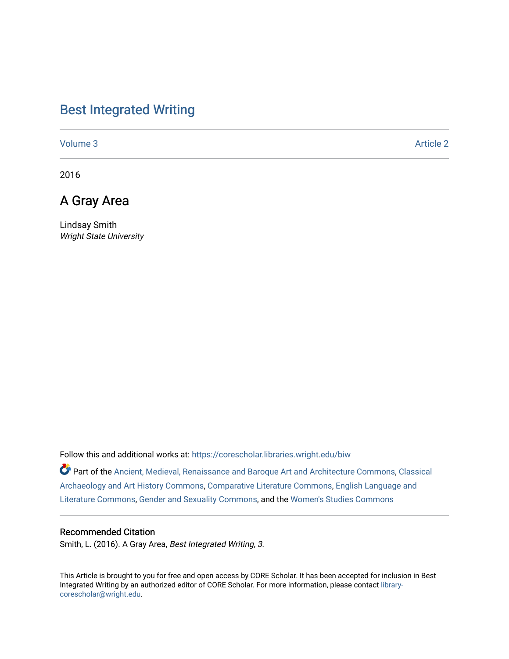## [Best Integrated Writing](https://corescholar.libraries.wright.edu/biw)

[Volume 3](https://corescholar.libraries.wright.edu/biw/vol3) Article 2

2016

## A Gray Area

Lindsay Smith Wright State University

Follow this and additional works at: [https://corescholar.libraries.wright.edu/biw](https://corescholar.libraries.wright.edu/biw?utm_source=corescholar.libraries.wright.edu%2Fbiw%2Fvol3%2Fiss1%2F2&utm_medium=PDF&utm_campaign=PDFCoverPages)

Part of the [Ancient, Medieval, Renaissance and Baroque Art and Architecture Commons](http://network.bepress.com/hgg/discipline/512?utm_source=corescholar.libraries.wright.edu%2Fbiw%2Fvol3%2Fiss1%2F2&utm_medium=PDF&utm_campaign=PDFCoverPages), Classical [Archaeology and Art History Commons](http://network.bepress.com/hgg/discipline/450?utm_source=corescholar.libraries.wright.edu%2Fbiw%2Fvol3%2Fiss1%2F2&utm_medium=PDF&utm_campaign=PDFCoverPages), [Comparative Literature Commons,](http://network.bepress.com/hgg/discipline/454?utm_source=corescholar.libraries.wright.edu%2Fbiw%2Fvol3%2Fiss1%2F2&utm_medium=PDF&utm_campaign=PDFCoverPages) [English Language and](http://network.bepress.com/hgg/discipline/455?utm_source=corescholar.libraries.wright.edu%2Fbiw%2Fvol3%2Fiss1%2F2&utm_medium=PDF&utm_campaign=PDFCoverPages)  [Literature Commons,](http://network.bepress.com/hgg/discipline/455?utm_source=corescholar.libraries.wright.edu%2Fbiw%2Fvol3%2Fiss1%2F2&utm_medium=PDF&utm_campaign=PDFCoverPages) [Gender and Sexuality Commons](http://network.bepress.com/hgg/discipline/420?utm_source=corescholar.libraries.wright.edu%2Fbiw%2Fvol3%2Fiss1%2F2&utm_medium=PDF&utm_campaign=PDFCoverPages), and the [Women's Studies Commons](http://network.bepress.com/hgg/discipline/561?utm_source=corescholar.libraries.wright.edu%2Fbiw%2Fvol3%2Fiss1%2F2&utm_medium=PDF&utm_campaign=PDFCoverPages) 

#### Recommended Citation

Smith, L. (2016). A Gray Area, Best Integrated Writing, 3.

This Article is brought to you for free and open access by CORE Scholar. It has been accepted for inclusion in Best Integrated Writing by an authorized editor of CORE Scholar. For more information, please contact [library](mailto:library-corescholar@wright.edu)[corescholar@wright.edu](mailto:library-corescholar@wright.edu).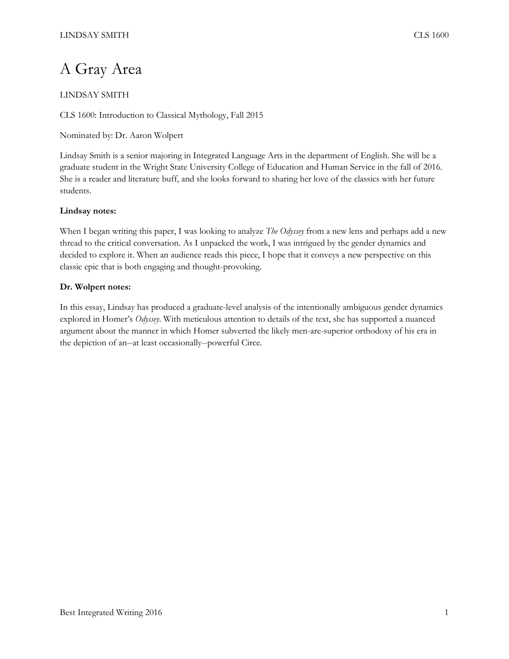# A Gray Area

### LINDSAY SMITH

CLS 1600: Introduction to Classical Mythology, Fall 2015

Nominated by: Dr. Aaron Wolpert

Lindsay Smith is a senior majoring in Integrated Language Arts in the department of English. She will be a graduate student in the Wright State University College of Education and Human Service in the fall of 2016. She is a reader and literature buff, and she looks forward to sharing her love of the classics with her future students.

#### **Lindsay notes:**

When I began writing this paper, I was looking to analyze *The Odyssey* from a new lens and perhaps add a new thread to the critical conversation. As I unpacked the work, I was intrigued by the gender dynamics and decided to explore it. When an audience reads this piece, I hope that it conveys a new perspective on this classic epic that is both engaging and thought-provoking.

#### **Dr. Wolpert notes:**

In this essay, Lindsay has produced a graduate-level analysis of the intentionally ambiguous gender dynamics explored in Homer's *Odyssey*. With meticulous attention to details of the text, she has supported a nuanced argument about the manner in which Homer subverted the likely men-are-superior orthodoxy of his era in the depiction of an--at least occasionally--powerful Circe.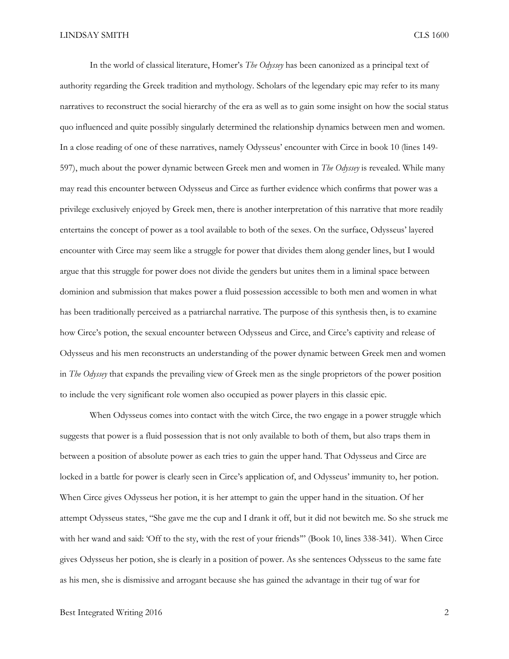In the world of classical literature, Homer's *The Odyssey* has been canonized as a principal text of authority regarding the Greek tradition and mythology. Scholars of the legendary epic may refer to its many narratives to reconstruct the social hierarchy of the era as well as to gain some insight on how the social status quo influenced and quite possibly singularly determined the relationship dynamics between men and women. In a close reading of one of these narratives, namely Odysseus' encounter with Circe in book 10 (lines 149- 597), much about the power dynamic between Greek men and women in *The Odyssey* is revealed. While many may read this encounter between Odysseus and Circe as further evidence which confirms that power was a privilege exclusively enjoyed by Greek men, there is another interpretation of this narrative that more readily entertains the concept of power as a tool available to both of the sexes. On the surface, Odysseus' layered encounter with Circe may seem like a struggle for power that divides them along gender lines, but I would argue that this struggle for power does not divide the genders but unites them in a liminal space between dominion and submission that makes power a fluid possession accessible to both men and women in what has been traditionally perceived as a patriarchal narrative. The purpose of this synthesis then, is to examine how Circe's potion, the sexual encounter between Odysseus and Circe, and Circe's captivity and release of Odysseus and his men reconstructs an understanding of the power dynamic between Greek men and women in *The Odyssey* that expands the prevailing view of Greek men as the single proprietors of the power position to include the very significant role women also occupied as power players in this classic epic.

When Odysseus comes into contact with the witch Circe, the two engage in a power struggle which suggests that power is a fluid possession that is not only available to both of them, but also traps them in between a position of absolute power as each tries to gain the upper hand. That Odysseus and Circe are locked in a battle for power is clearly seen in Circe's application of, and Odysseus' immunity to, her potion. When Circe gives Odysseus her potion, it is her attempt to gain the upper hand in the situation. Of her attempt Odysseus states, "She gave me the cup and I drank it off, but it did not bewitch me. So she struck me with her wand and said: 'Off to the sty, with the rest of your friends'" (Book 10, lines 338-341). When Circe gives Odysseus her potion, she is clearly in a position of power. As she sentences Odysseus to the same fate as his men, she is dismissive and arrogant because she has gained the advantage in their tug of war for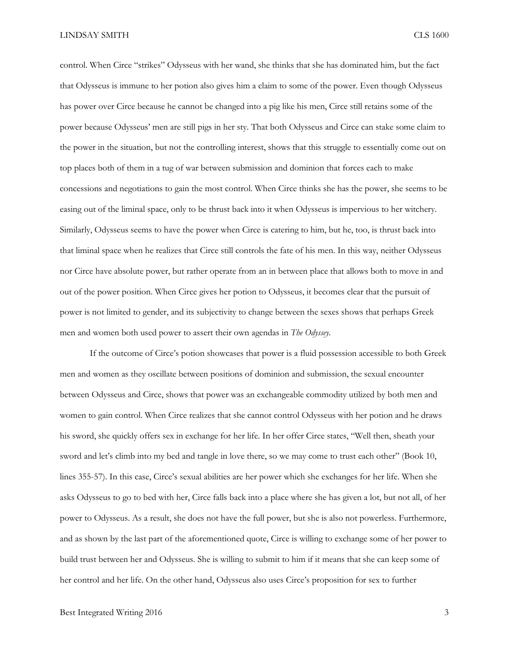control. When Circe "strikes" Odysseus with her wand, she thinks that she has dominated him, but the fact that Odysseus is immune to her potion also gives him a claim to some of the power. Even though Odysseus has power over Circe because he cannot be changed into a pig like his men, Circe still retains some of the power because Odysseus' men are still pigs in her sty. That both Odysseus and Circe can stake some claim to the power in the situation, but not the controlling interest, shows that this struggle to essentially come out on top places both of them in a tug of war between submission and dominion that forces each to make concessions and negotiations to gain the most control. When Circe thinks she has the power, she seems to be easing out of the liminal space, only to be thrust back into it when Odysseus is impervious to her witchery. Similarly, Odysseus seems to have the power when Circe is catering to him, but he, too, is thrust back into that liminal space when he realizes that Circe still controls the fate of his men. In this way, neither Odysseus nor Circe have absolute power, but rather operate from an in between place that allows both to move in and out of the power position. When Circe gives her potion to Odysseus, it becomes clear that the pursuit of power is not limited to gender, and its subjectivity to change between the sexes shows that perhaps Greek men and women both used power to assert their own agendas in *The Odyssey.* 

If the outcome of Circe's potion showcases that power is a fluid possession accessible to both Greek men and women as they oscillate between positions of dominion and submission, the sexual encounter between Odysseus and Circe, shows that power was an exchangeable commodity utilized by both men and women to gain control. When Circe realizes that she cannot control Odysseus with her potion and he draws his sword, she quickly offers sex in exchange for her life. In her offer Circe states, "Well then, sheath your sword and let's climb into my bed and tangle in love there, so we may come to trust each other" (Book 10, lines 355-57). In this case, Circe's sexual abilities are her power which she exchanges for her life. When she asks Odysseus to go to bed with her, Circe falls back into a place where she has given a lot, but not all, of her power to Odysseus. As a result, she does not have the full power, but she is also not powerless. Furthermore, and as shown by the last part of the aforementioned quote, Circe is willing to exchange some of her power to build trust between her and Odysseus. She is willing to submit to him if it means that she can keep some of her control and her life. On the other hand, Odysseus also uses Circe's proposition for sex to further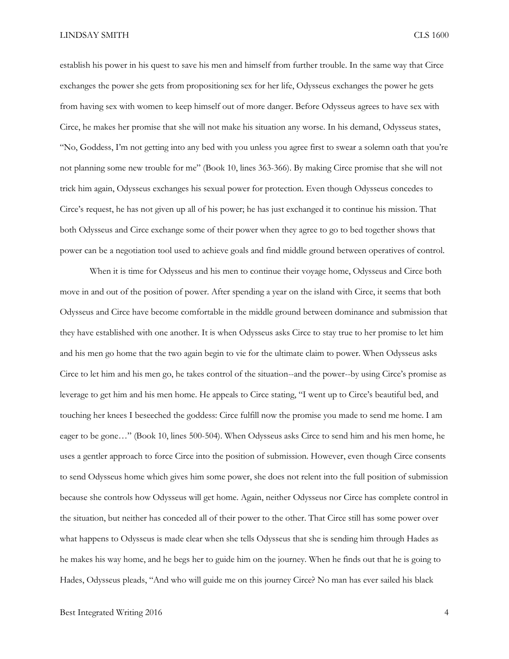establish his power in his quest to save his men and himself from further trouble. In the same way that Circe exchanges the power she gets from propositioning sex for her life, Odysseus exchanges the power he gets from having sex with women to keep himself out of more danger. Before Odysseus agrees to have sex with Circe, he makes her promise that she will not make his situation any worse. In his demand, Odysseus states, "No, Goddess, I'm not getting into any bed with you unless you agree first to swear a solemn oath that you're not planning some new trouble for me" (Book 10, lines 363-366). By making Circe promise that she will not trick him again, Odysseus exchanges his sexual power for protection. Even though Odysseus concedes to Circe's request, he has not given up all of his power; he has just exchanged it to continue his mission. That both Odysseus and Circe exchange some of their power when they agree to go to bed together shows that power can be a negotiation tool used to achieve goals and find middle ground between operatives of control.

When it is time for Odysseus and his men to continue their voyage home, Odysseus and Circe both move in and out of the position of power. After spending a year on the island with Circe, it seems that both Odysseus and Circe have become comfortable in the middle ground between dominance and submission that they have established with one another. It is when Odysseus asks Circe to stay true to her promise to let him and his men go home that the two again begin to vie for the ultimate claim to power. When Odysseus asks Circe to let him and his men go, he takes control of the situation--and the power--by using Circe's promise as leverage to get him and his men home. He appeals to Circe stating, "I went up to Circe's beautiful bed, and touching her knees I beseeched the goddess: Circe fulfill now the promise you made to send me home. I am eager to be gone…" (Book 10, lines 500-504). When Odysseus asks Circe to send him and his men home, he uses a gentler approach to force Circe into the position of submission. However, even though Circe consents to send Odysseus home which gives him some power, she does not relent into the full position of submission because she controls how Odysseus will get home. Again, neither Odysseus nor Circe has complete control in the situation, but neither has conceded all of their power to the other. That Circe still has some power over what happens to Odysseus is made clear when she tells Odysseus that she is sending him through Hades as he makes his way home, and he begs her to guide him on the journey. When he finds out that he is going to Hades, Odysseus pleads, "And who will guide me on this journey Circe? No man has ever sailed his black